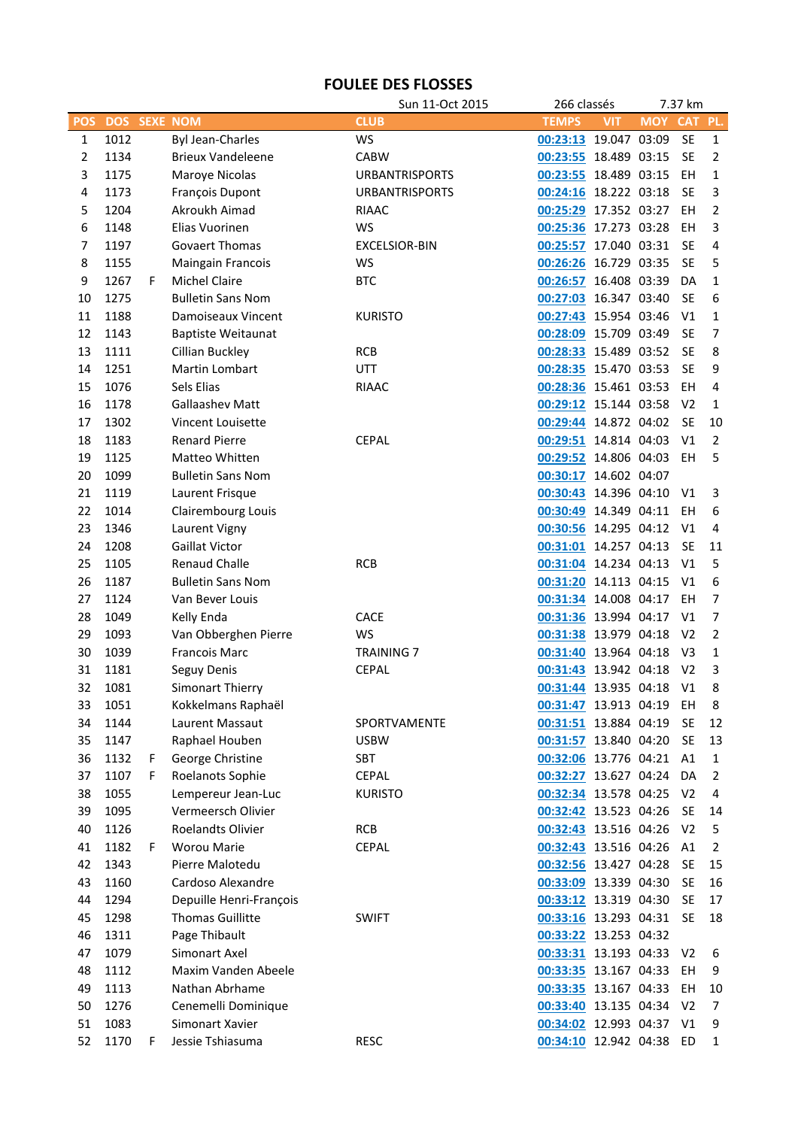## **FOULEE DES FLOSSES**

|                |            |    |                           | Sun 11-Oct 2015       | 266 classés              |            | 7.37 km    |                |                |
|----------------|------------|----|---------------------------|-----------------------|--------------------------|------------|------------|----------------|----------------|
| <b>POS</b>     | <b>DOS</b> |    | <b>SEXE NOM</b>           | <b>CLUB</b>           | <b>TEMPS</b>             | <b>VIT</b> | <b>MOY</b> | <b>CAT</b>     | PL.            |
| $\mathbf{1}$   | 1012       |    | <b>Byl Jean-Charles</b>   | WS                    | 00:23:13 19.047 03:09    |            |            | <b>SE</b>      | $\mathbf{1}$   |
| $\overline{2}$ | 1134       |    | <b>Brieux Vandeleene</b>  | <b>CABW</b>           | 00:23:55 18.489 03:15    |            |            | <b>SE</b>      | $\overline{2}$ |
| 3              | 1175       |    | Maroye Nicolas            | <b>URBANTRISPORTS</b> | 00:23:55 18.489 03:15    |            |            | EH             | $\mathbf{1}$   |
| 4              | 1173       |    | François Dupont           | <b>URBANTRISPORTS</b> | 00:24:16 18.222 03:18    |            |            | <b>SE</b>      | 3              |
| 5              | 1204       |    | Akroukh Aimad             | <b>RIAAC</b>          | 00:25:29 17.352 03:27    |            |            | EH             | 2              |
| 6              | 1148       |    | Elias Vuorinen            | <b>WS</b>             | 00:25:36 17.273 03:28    |            |            | EH             | 3              |
| 7              | 1197       |    | <b>Govaert Thomas</b>     | <b>EXCELSIOR-BIN</b>  | 00:25:57 17.040 03:31    |            |            | <b>SE</b>      | 4              |
| 8              | 1155       |    | Maingain Francois         | WS                    | 00:26:26 16.729 03:35    |            |            | <b>SE</b>      | 5              |
| 9              | 1267       | F  | <b>Michel Claire</b>      | <b>BTC</b>            | 00:26:57 16.408 03:39    |            |            | DA             | 1              |
| 10             | 1275       |    | <b>Bulletin Sans Nom</b>  |                       | 00:27:03 16.347 03:40    |            |            | <b>SE</b>      | 6              |
| 11             | 1188       |    | Damoiseaux Vincent        | <b>KURISTO</b>        | 00:27:43 15.954 03:46    |            |            | V <sub>1</sub> | 1              |
| 12             | 1143       |    | <b>Baptiste Weitaunat</b> |                       | 00:28:09 15.709 03:49    |            |            | <b>SE</b>      | $\overline{7}$ |
| 13             | 1111       |    | Cillian Buckley           | <b>RCB</b>            | 00:28:33 15.489 03:52    |            |            | <b>SE</b>      | 8              |
| 14             | 1251       |    | Martin Lombart            | <b>UTT</b>            | 00:28:35 15.470 03:53    |            |            | <b>SE</b>      | 9              |
| 15             | 1076       |    | Sels Elias                | <b>RIAAC</b>          | 00:28:36 15.461 03:53    |            |            | EH             | 4              |
| 16             | 1178       |    | Gallaashev Matt           |                       | 00:29:12 15.144 03:58    |            |            | V <sub>2</sub> | 1              |
| 17             | 1302       |    | Vincent Louisette         |                       | 00:29:44 14.872 04:02    |            |            | <b>SE</b>      | 10             |
| 18             | 1183       |    | <b>Renard Pierre</b>      | <b>CEPAL</b>          | 00:29:51 14.814 04:03    |            |            | V <sub>1</sub> | $\overline{2}$ |
| 19             | 1125       |    | Matteo Whitten            |                       | 00:29:52 14.806 04:03    |            |            | EH             | 5              |
|                |            |    |                           |                       |                          |            |            |                |                |
| 20             | 1099       |    | <b>Bulletin Sans Nom</b>  |                       | 00:30:17 14.602 04:07    |            |            |                |                |
| 21             | 1119       |    | Laurent Frisque           |                       | 00:30:43 14.396 04:10    |            |            | V1             | 3              |
| 22             | 1014       |    | Clairembourg Louis        |                       | 00:30:49 14.349 04:11    |            |            | EH             | 6              |
| 23             | 1346       |    | Laurent Vigny             |                       | 00:30:56 14.295 04:12    |            |            | V1             | 4              |
| 24             | 1208       |    | <b>Gaillat Victor</b>     |                       | 00:31:01 14.257 04:13    |            |            | <b>SE</b>      | 11             |
| 25             | 1105       |    | <b>Renaud Challe</b>      | <b>RCB</b>            | 00:31:04 14.234 04:13    |            |            | V <sub>1</sub> | 5              |
| 26             | 1187       |    | <b>Bulletin Sans Nom</b>  |                       | 00:31:20 14.113 04:15    |            |            | V1             | 6              |
| 27             | 1124       |    | Van Bever Louis           |                       | 00:31:34 14.008 04:17    |            |            | EH             | $\overline{7}$ |
| 28             | 1049       |    | Kelly Enda                | CACE                  | 00:31:36 13.994 04:17    |            |            | V <sub>1</sub> | $\overline{7}$ |
| 29             | 1093       |    | Van Obberghen Pierre      | WS                    | 00:31:38 13.979 04:18    |            |            | V <sub>2</sub> | $\overline{2}$ |
| 30             | 1039       |    | <b>Francois Marc</b>      | <b>TRAINING 7</b>     | 00:31:40 13.964 04:18    |            |            | V <sub>3</sub> | $\mathbf{1}$   |
| 31             | 1181       |    | Seguy Denis               | <b>CEPAL</b>          | 00:31:43 13.942 04:18    |            |            | V <sub>2</sub> | 3              |
| 32             | 1081       |    | Simonart Thierry          |                       | 00:31:44 13.935 04:18    |            |            | V <sub>1</sub> | 8              |
| 33             | 1051       |    | Kokkelmans Raphaël        |                       | 00:31:47 13.913 04:19    |            |            | EH             | 8              |
| 34             | 1144       |    | Laurent Massaut           | SPORTVAMENTE          | 00:31:51 13.884 04:19    |            |            | <b>SE</b>      | 12             |
| 35             | 1147       |    | Raphael Houben            | <b>USBW</b>           | 00:31:57 13.840 04:20    |            |            | <b>SE</b>      | 13             |
| 36             | 1132       | F. | George Christine          | SBT                   | 00:32:06 13.776 04:21    |            |            | A1             | $\mathbf{1}$   |
| 37             | 1107       | F  | Roelanots Sophie          | <b>CEPAL</b>          | 00:32:27 13.627 04:24    |            |            | DA             | $\overline{2}$ |
| 38             | 1055       |    | Lempereur Jean-Luc        | <b>KURISTO</b>        | 00:32:34 13.578 04:25    |            |            | V <sub>2</sub> | 4              |
| 39             | 1095       |    | Vermeersch Olivier        |                       | 00:32:42 13.523 04:26    |            |            | <b>SE</b>      | 14             |
| 40             | 1126       |    | <b>Roelandts Olivier</b>  | <b>RCB</b>            | 00:32:43 13.516 04:26    |            |            | V <sub>2</sub> | 5              |
| 41             | 1182       | F  | <b>Worou Marie</b>        | <b>CEPAL</b>          | 00:32:43 13.516 04:26    |            |            | A1             | $\overline{2}$ |
| 42             | 1343       |    | Pierre Malotedu           |                       | 00:32:56 13.427 04:28    |            |            | <b>SE</b>      | 15             |
| 43             | 1160       |    | Cardoso Alexandre         |                       | 00:33:09 13.339 04:30    |            |            | <b>SE</b>      | 16             |
| 44             | 1294       |    | Depuille Henri-François   |                       | 00:33:12 13.319 04:30    |            |            | <b>SE</b>      | 17             |
| 45             | 1298       |    | <b>Thomas Guillitte</b>   | <b>SWIFT</b>          | 00:33:16 13.293 04:31    |            |            | <b>SE</b>      | 18             |
| 46             | 1311       |    | Page Thibault             |                       | 00:33:22 13.253 04:32    |            |            |                |                |
| 47             | 1079       |    | Simonart Axel             |                       | 00:33:31 13.193 04:33    |            |            | V <sub>2</sub> | 6              |
| 48             | 1112       |    | Maxim Vanden Abeele       |                       | 00:33:35 13.167 04:33    |            |            | EH             | 9              |
| 49             | 1113       |    | Nathan Abrhame            |                       | 00:33:35 13.167 04:33    |            |            | EH             | 10             |
| 50             | 1276       |    | Cenemelli Dominique       |                       | 00:33:40 13.135 04:34    |            |            | V <sub>2</sub> | 7              |
| 51             | 1083       |    | Simonart Xavier           |                       | 00:34:02 12.993 04:37    |            |            | V1             | 9              |
| 52             | 1170       | F  | Jessie Tshiasuma          | <b>RESC</b>           | 00:34:10 12.942 04:38 ED |            |            |                | $\mathbf{1}$   |
|                |            |    |                           |                       |                          |            |            |                |                |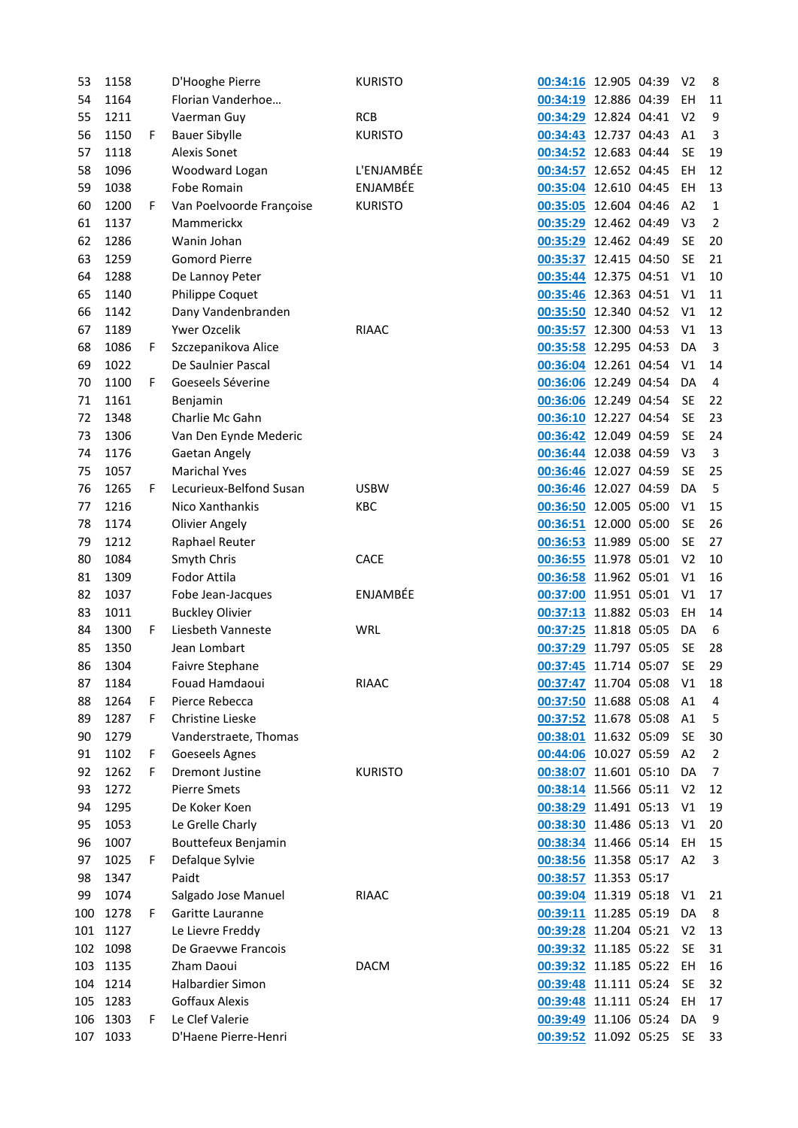| 53  | 1158 |    | D'Hooghe Pierre          | <b>KURISTO</b> | 00:34:16 12.905 04:39 |  | V <sub>2</sub> | 8              |
|-----|------|----|--------------------------|----------------|-----------------------|--|----------------|----------------|
| 54  | 1164 |    | Florian Vanderhoe        |                | 00:34:19 12.886 04:39 |  | EH             | 11             |
| 55  | 1211 |    | Vaerman Guy              | <b>RCB</b>     | 00:34:29 12.824 04:41 |  | V <sub>2</sub> | 9              |
| 56  | 1150 | F. | <b>Bauer Sibylle</b>     | <b>KURISTO</b> | 00:34:43 12.737 04:43 |  | A1             | 3              |
| 57  | 1118 |    | <b>Alexis Sonet</b>      |                | 00:34:52 12.683 04:44 |  | <b>SE</b>      | 19             |
| 58  | 1096 |    | Woodward Logan           | L'ENJAMBÉE     | 00:34:57 12.652 04:45 |  | EH             | 12             |
| 59  | 1038 |    | Fobe Romain              | ENJAMBÉE       | 00:35:04 12.610 04:45 |  | EH             | 13             |
| 60  | 1200 | F. | Van Poelvoorde Françoise | <b>KURISTO</b> | 00:35:05 12.604 04:46 |  | A <sub>2</sub> | $\mathbf{1}$   |
| 61  | 1137 |    | Mammerickx               |                | 00:35:29 12.462 04:49 |  | V <sub>3</sub> | $\overline{2}$ |
| 62  | 1286 |    | Wanin Johan              |                | 00:35:29 12.462 04:49 |  | <b>SE</b>      | 20             |
| 63  | 1259 |    | <b>Gomord Pierre</b>     |                | 00:35:37 12.415 04:50 |  | <b>SE</b>      | 21             |
| 64  | 1288 |    | De Lannoy Peter          |                | 00:35:44 12.375 04:51 |  | V <sub>1</sub> | 10             |
| 65  | 1140 |    | Philippe Coquet          |                | 00:35:46 12.363 04:51 |  | V <sub>1</sub> | 11             |
| 66  | 1142 |    | Dany Vandenbranden       |                | 00:35:50 12.340 04:52 |  | V <sub>1</sub> | 12             |
| 67  | 1189 |    | Ywer Ozcelik             | <b>RIAAC</b>   | 00:35:57 12.300 04:53 |  | V <sub>1</sub> | 13             |
| 68  | 1086 | F. | Szczepanikova Alice      |                | 00:35:58 12.295 04:53 |  | DA             | 3              |
| 69  | 1022 |    | De Saulnier Pascal       |                | 00:36:04 12.261 04:54 |  | V <sub>1</sub> | 14             |
| 70  | 1100 | F. | Goeseels Séverine        |                | 00:36:06 12.249 04:54 |  | DA             | 4              |
| 71  | 1161 |    | Benjamin                 |                | 00:36:06 12.249 04:54 |  | <b>SE</b>      | 22             |
| 72  | 1348 |    | Charlie Mc Gahn          |                | 00:36:10 12.227 04:54 |  | <b>SE</b>      | 23             |
| 73  | 1306 |    |                          |                |                       |  | <b>SE</b>      | 24             |
|     |      |    | Van Den Eynde Mederic    |                | 00:36:42 12.049 04:59 |  |                |                |
| 74  | 1176 |    | Gaetan Angely            |                | 00:36:44 12.038 04:59 |  | V <sub>3</sub> | 3              |
| 75  | 1057 |    | <b>Marichal Yves</b>     |                | 00:36:46 12.027 04:59 |  | <b>SE</b>      | 25             |
| 76  | 1265 | F. | Lecurieux-Belfond Susan  | <b>USBW</b>    | 00:36:46 12.027 04:59 |  | DA             | 5              |
| 77  | 1216 |    | Nico Xanthankis          | KBC            | 00:36:50 12.005 05:00 |  | V <sub>1</sub> | 15             |
| 78  | 1174 |    | <b>Olivier Angely</b>    |                | 00:36:51 12.000 05:00 |  | <b>SE</b>      | 26             |
| 79  | 1212 |    | Raphael Reuter           |                | 00:36:53 11.989 05:00 |  | <b>SE</b>      | 27             |
| 80  | 1084 |    | Smyth Chris              | <b>CACE</b>    | 00:36:55 11.978 05:01 |  | V <sub>2</sub> | 10             |
| 81  | 1309 |    | Fodor Attila             |                | 00:36:58 11.962 05:01 |  | V <sub>1</sub> | 16             |
| 82  | 1037 |    | Fobe Jean-Jacques        | ENJAMBÉE       | 00:37:00 11.951 05:01 |  | V <sub>1</sub> | 17             |
| 83  | 1011 |    | <b>Buckley Olivier</b>   |                | 00:37:13 11.882 05:03 |  | EH             | 14             |
| 84  | 1300 | F. | Liesbeth Vanneste        | WRL            | 00:37:25 11.818 05:05 |  | DA             | 6              |
| 85  | 1350 |    | Jean Lombart             |                | 00:37:29 11.797 05:05 |  | <b>SE</b>      | 28             |
| 86  | 1304 |    | Faivre Stephane          |                | 00:37:45 11.714 05:07 |  | <b>SE</b>      | 29             |
| 87  | 1184 |    | Fouad Hamdaoui           | <b>RIAAC</b>   | 00:37:47 11.704 05:08 |  | V <sub>1</sub> | 18             |
| 88  | 1264 | F. | Pierce Rebecca           |                | 00:37:50 11.688 05:08 |  | A1             | 4              |
| 89  | 1287 | F. | <b>Christine Lieske</b>  |                | 00:37:52 11.678 05:08 |  | A <sub>1</sub> | 5              |
| 90  | 1279 |    | Vanderstraete, Thomas    |                | 00:38:01 11.632 05:09 |  | <b>SE</b>      | 30             |
| 91  | 1102 | F. | Goeseels Agnes           |                | 00:44:06 10.027 05:59 |  | A2             | $\overline{2}$ |
| 92  | 1262 | F. | <b>Dremont Justine</b>   | <b>KURISTO</b> | 00:38:07 11.601 05:10 |  | DA             | $\overline{7}$ |
| 93  | 1272 |    | <b>Pierre Smets</b>      |                | 00:38:14 11.566 05:11 |  | V <sub>2</sub> | 12             |
| 94  | 1295 |    | De Koker Koen            |                | 00:38:29 11.491 05:13 |  | V <sub>1</sub> | 19             |
| 95  | 1053 |    | Le Grelle Charly         |                | 00:38:30 11.486 05:13 |  | V <sub>1</sub> | 20             |
| 96  | 1007 |    | Bouttefeux Benjamin      |                | 00:38:34 11.466 05:14 |  | EH             | 15             |
| 97  | 1025 | F. | Defalque Sylvie          |                | 00:38:56 11.358 05:17 |  | A <sub>2</sub> | 3              |
| 98  | 1347 |    | Paidt                    |                | 00:38:57 11.353 05:17 |  |                |                |
| 99  | 1074 |    | Salgado Jose Manuel      | <b>RIAAC</b>   | 00:39:04 11.319 05:18 |  | V <sub>1</sub> | 21             |
| 100 | 1278 | F. | Garitte Lauranne         |                | 00:39:11 11.285 05:19 |  | DA             | 8              |
| 101 | 1127 |    | Le Lievre Freddy         |                | 00:39:28 11.204 05:21 |  | V <sub>2</sub> | 13             |
| 102 | 1098 |    | De Graevwe Francois      |                | 00:39:32 11.185 05:22 |  | <b>SE</b>      | 31             |
| 103 | 1135 |    | Zham Daoui               | <b>DACM</b>    | 00:39:32 11.185 05:22 |  | EH             | 16             |
| 104 | 1214 |    | Halbardier Simon         |                | 00:39:48 11.111 05:24 |  | <b>SE</b>      | 32             |
| 105 | 1283 |    | <b>Goffaux Alexis</b>    |                | 00:39:48 11.111 05:24 |  | EH             | 17             |
| 106 | 1303 | F. | Le Clef Valerie          |                | 00:39:49 11.106 05:24 |  | DA             | 9              |
| 107 | 1033 |    | D'Haene Pierre-Henri     |                | 00:39:52 11.092 05:25 |  | <b>SE</b>      | 33             |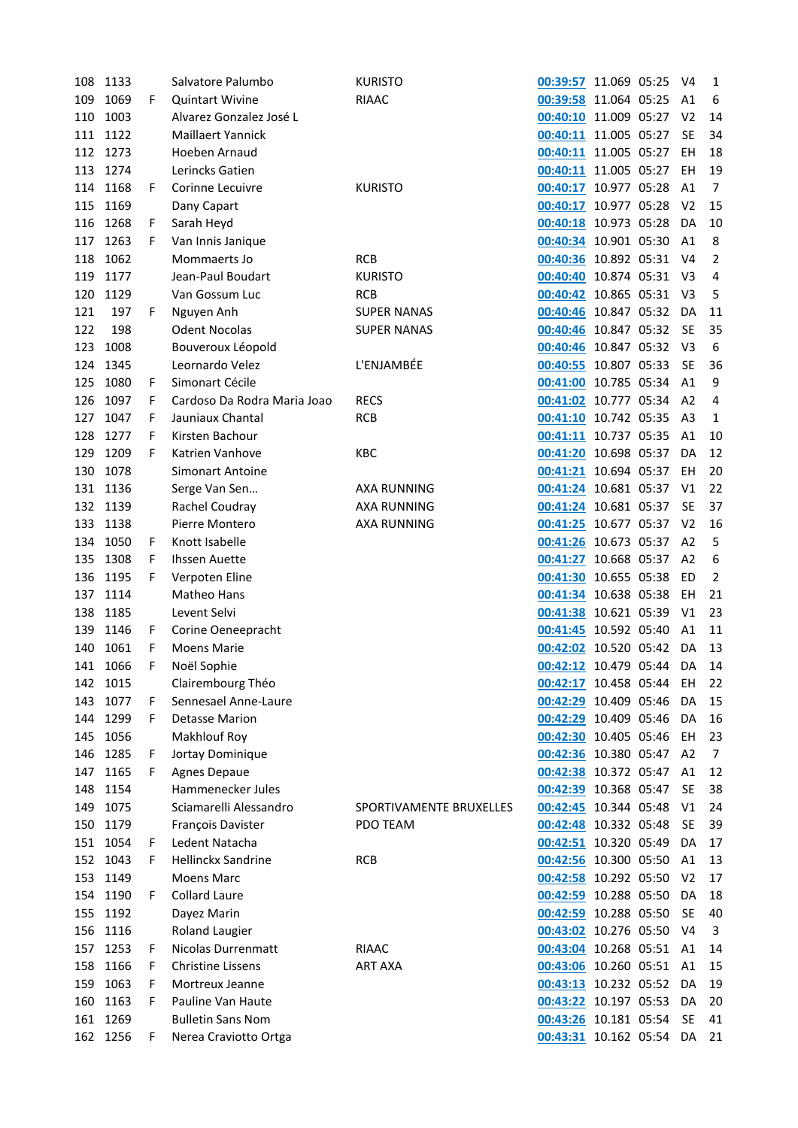| 108        | 1133     |    | Salvatore Palumbo           | <b>KURISTO</b>          | 00:39:57 11.069 05:25    |              | V4             | $\mathbf{1}$   |
|------------|----------|----|-----------------------------|-------------------------|--------------------------|--------------|----------------|----------------|
| 109        | 1069     | F  | <b>Quintart Wivine</b>      | <b>RIAAC</b>            | 00:39:58 11.064 05:25    |              | A1             | 6              |
| 110        | 1003     |    | Alvarez Gonzalez José L     |                         | 00:40:10 11.009 05:27    |              | V <sub>2</sub> | 14             |
| 111        | 1122     |    | <b>Maillaert Yannick</b>    |                         | 00:40:11 11.005 05:27    |              | <b>SE</b>      | 34             |
| 112        | 1273     |    | Hoeben Arnaud               |                         | 00:40:11 11.005 05:27    |              | EH             | 18             |
| 113        | 1274     |    | Lerincks Gatien             |                         | 00:40:11 11.005 05:27    |              | EH             | 19             |
| 114        | 1168     | F  | Corinne Lecuivre            | <b>KURISTO</b>          | 00:40:17 10.977 05:28    |              | A1             | $\overline{7}$ |
| 115        | 1169     |    | Dany Capart                 |                         | 00:40:17 10.977 05:28    |              | V <sub>2</sub> | 15             |
| 116        | 1268     | F. | Sarah Heyd                  |                         | 00:40:18 10.973 05:28    |              | DA             | 10             |
| 117        | 1263     | F. | Van Innis Janique           |                         | 00:40:34 10.901 05:30    |              | A1             | $\,8\,$        |
| 118        | 1062     |    | Mommaerts Jo                | <b>RCB</b>              | 00:40:36 10.892 05:31    |              | V4             | $\overline{2}$ |
| 119        | 1177     |    | Jean-Paul Boudart           | <b>KURISTO</b>          | 00:40:40 10.874 05:31    |              | V3             | 4              |
| 120        | 1129     |    | Van Gossum Luc              | <b>RCB</b>              | 00:40:42 10.865 05:31    |              | V <sub>3</sub> | 5              |
| 121        | 197      | F  | Nguyen Anh                  | <b>SUPER NANAS</b>      | 00:40:46 10.847 05:32    |              | DA             | 11             |
| 122        | 198      |    | <b>Odent Nocolas</b>        | <b>SUPER NANAS</b>      | 00:40:46 10.847 05:32    |              | <b>SE</b>      | 35             |
| 123        | 1008     |    | Bouveroux Léopold           |                         | 00:40:46 10.847 05:32    |              | V <sub>3</sub> | 6              |
| 124        | 1345     |    | Leornardo Velez             | L'ENJAMBÉE              | 00:40:55 10.807 05:33    |              | <b>SE</b>      | 36             |
| 125        | 1080     | F  | Simonart Cécile             |                         | 00:41:00 10.785 05:34    |              | A <sub>1</sub> | 9              |
| 126        | 1097     | F  | Cardoso Da Rodra Maria Joao | <b>RECS</b>             | 00:41:02 10.777 05:34    |              | A <sub>2</sub> | 4              |
| 127        | 1047     | F  | Jauniaux Chantal            | <b>RCB</b>              | 00:41:10 10.742 05:35    |              | A <sub>3</sub> | 1              |
| 128        | 1277     | F  | Kirsten Bachour             |                         | 00:41:11 10.737 05:35    |              | A1             | 10             |
|            |          |    |                             |                         |                          |              |                |                |
| 129        | 1209     | F  | Katrien Vanhove             | KBC                     | 00:41:20 10.698 05:37    |              | DA             | 12             |
| 130        | 1078     |    | Simonart Antoine            |                         | 00:41:21 10.694 05:37    |              | EH             | 20             |
| 131        | 1136     |    | Serge Van Sen               | <b>AXA RUNNING</b>      | 00:41:24 10.681 05:37    |              | V <sub>1</sub> | 22             |
| 132        | 1139     |    | Rachel Coudray              | <b>AXA RUNNING</b>      | 00:41:24 10.681 05:37    |              | <b>SE</b>      | 37             |
| 133        | 1138     |    | Pierre Montero              | <b>AXA RUNNING</b>      | 00:41:25 10.677 05:37    |              | V <sub>2</sub> | 16             |
| 134        | 1050     | F  | Knott Isabelle              |                         | 00:41:26 10.673 05:37    |              | A <sub>2</sub> | 5              |
| 135        | 1308     | F  | <b>Ihssen Auette</b>        |                         | 00:41:27 10.668 05:37    |              | A <sub>2</sub> | 6              |
| 136        | 1195     | F  | Verpoten Eline              |                         | 00:41:30 10.655 05:38    |              | ED             | $\overline{2}$ |
| 137        | 1114     |    | Matheo Hans                 |                         | 00:41:34 10.638 05:38    |              | EH             | 21             |
| 138        | 1185     |    | Levent Selvi                |                         | 00:41:38 10.621 05:39    |              | V <sub>1</sub> | 23             |
| 139        | 1146     | F. | Corine Oeneepracht          |                         | 00:41:45 10.592 05:40    |              | A <sub>1</sub> | 11             |
| 140        | 1061     | F  | <b>Moens Marie</b>          |                         | 00:42:02 10.520 05:42    |              | DA             | 13             |
| 141        | 1066     | F  | Noël Sophie                 |                         | 00:42:12 10.479 05:44    |              | DA             | 14             |
| 142        | 1015     |    | Clairembourg Théo           |                         | 00:42:17 10.458 05:44    |              | EH             | 22             |
| 143        | 1077     | F  | Sennesael Anne-Laure        |                         | 00:42:29 10.409 05:46    |              | DA             | 15             |
| 144        | 1299     | F  | <b>Detasse Marion</b>       |                         | 00:42:29 10.409 05:46    |              | DA             | 16             |
| 145        | 1056     |    | Makhlouf Roy                |                         | 00:42:30 10.405 05:46    |              | EH             | 23             |
| 146        | 1285     | F  | Jortay Dominique            |                         | 00:42:36 10.380 05:47    |              | A <sub>2</sub> | $\overline{7}$ |
| 147        | 1165     | F. | <b>Agnes Depaue</b>         |                         | 00:42:38 10.372 05:47    |              | A1             | 12             |
| 148        | 1154     |    | Hammenecker Jules           |                         | 00:42:39 10.368 05:47    |              | <b>SE</b>      | 38             |
| 149        | 1075     |    | Sciamarelli Alessandro      | SPORTIVAMENTE BRUXELLES | 00:42:45 10.344 05:48    |              | V1             | 24             |
| 150        | 1179     |    | François Davister           | <b>PDO TEAM</b>         | 00:42:48 10.332 05:48    |              | <b>SE</b>      | 39             |
| 151        | 1054     | F  | Ledent Natacha              |                         | 00:42:51                 | 10.320 05:49 | DA             | 17             |
| 152        | 1043     | F  | <b>Hellinckx Sandrine</b>   | <b>RCB</b>              | 00:42:56 10.300 05:50    |              | A1             | 13             |
| 153        | 1149     |    | <b>Moens Marc</b>           |                         | 00:42:58 10.292 05:50    |              | V <sub>2</sub> | 17             |
|            | 154 1190 | F. | <b>Collard Laure</b>        |                         | 00:42:59 10.288 05:50    |              | DA             | 18             |
| 155        | 1192     |    | Dayez Marin                 |                         | 00:42:59 10.288 05:50    |              | <b>SE</b>      | 40             |
| 156        | 1116     |    | <b>Roland Laugier</b>       |                         | 00:43:02 10.276 05:50    |              | V <sub>4</sub> | 3              |
| 157        | 1253     | F  | Nicolas Durrenmatt          | <b>RIAAC</b>            | 00:43:04 10.268 05:51    |              | A1             | 14             |
| 158        | 1166     | F  | <b>Christine Lissens</b>    | <b>ART AXA</b>          | 00:43:06 10.260 05:51    |              | A1             | 15             |
|            | 1063     | F  | Mortreux Jeanne             |                         |                          |              | DA             | 19             |
| 159<br>160 | 1163     | F  | Pauline Van Haute           |                         | 00:43:13 10.232 05:52    |              | DA             | 20             |
|            |          |    |                             |                         | 00:43:22 10.197 05:53    |              |                |                |
| 161        | 1269     |    | <b>Bulletin Sans Nom</b>    |                         | 00:43:26 10.181 05:54    |              | <b>SE</b>      | 41             |
|            | 162 1256 | F. | Nerea Craviotto Ortga       |                         | 00:43:31 10.162 05:54 DA |              |                | 21             |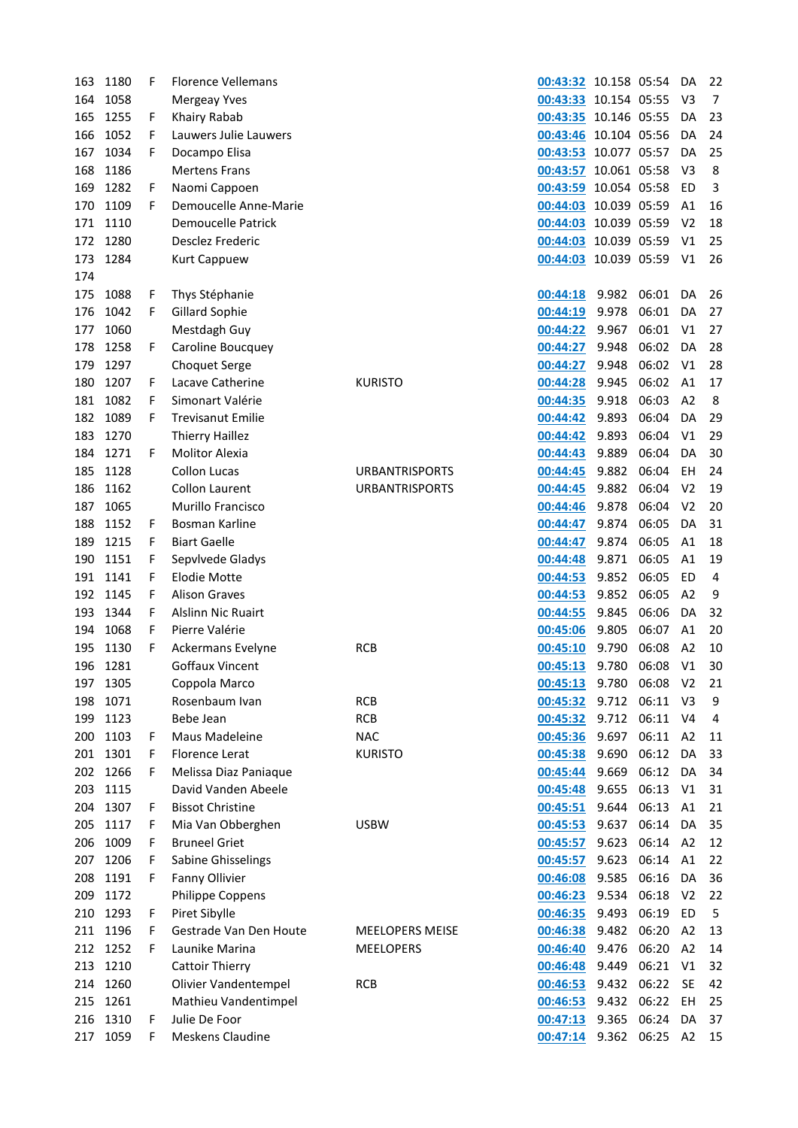| 163 | 1180     | F | <b>Florence Vellemans</b> |                        | 00:43:32              | 10.158 05:54 |       | DA             | 22             |
|-----|----------|---|---------------------------|------------------------|-----------------------|--------------|-------|----------------|----------------|
| 164 | 1058     |   | Mergeay Yves              |                        | 00:43:33              | 10.154 05:55 |       | V3             | $\overline{7}$ |
| 165 | 1255     | F | Khairy Rabab              |                        | 00:43:35              | 10.146 05:55 |       | DA             | 23             |
| 166 | 1052     | F | Lauwers Julie Lauwers     |                        | 00:43:46              | 10.104 05:56 |       | DA             | 24             |
| 167 | 1034     | F | Docampo Elisa             |                        | 00:43:53 10.077 05:57 |              |       | DA             | 25             |
| 168 | 1186     |   | <b>Mertens Frans</b>      |                        | 00:43:57 10.061 05:58 |              |       | V3             | 8              |
| 169 | 1282     | F | Naomi Cappoen             |                        | 00:43:59              | 10.054 05:58 |       | ED             | 3              |
| 170 | 1109     | F | Demoucelle Anne-Marie     |                        | 00:44:03              | 10.039 05:59 |       | A1             | 16             |
| 171 | 1110     |   | <b>Demoucelle Patrick</b> |                        | 00:44:03              | 10.039 05:59 |       | V <sub>2</sub> | 18             |
| 172 | 1280     |   | Desclez Frederic          |                        | 00:44:03              | 10.039 05:59 |       | V1             | 25             |
| 173 | 1284     |   | <b>Kurt Cappuew</b>       |                        | 00:44:03 10.039 05:59 |              |       | V <sub>1</sub> | 26             |
| 174 |          |   |                           |                        |                       |              |       |                |                |
| 175 | 1088     | F | Thys Stéphanie            |                        | 00:44:18              | 9.982        | 06:01 | DA             | 26             |
| 176 | 1042     | F | Gillard Sophie            |                        | 00:44:19              | 9.978        | 06:01 | DA             | 27             |
| 177 | 1060     |   | Mestdagh Guy              |                        | 00:44:22              | 9.967        | 06:01 | V1             | 27             |
| 178 | 1258     | F | Caroline Boucquey         |                        | 00:44:27              | 9.948        | 06:02 | DA             | 28             |
| 179 | 1297     |   | <b>Choquet Serge</b>      |                        | 00:44:27              | 9.948        | 06:02 | V <sub>1</sub> | 28             |
| 180 | 1207     | F | Lacave Catherine          | <b>KURISTO</b>         | 00:44:28              | 9.945        | 06:02 | A1             | 17             |
| 181 | 1082     | F | Simonart Valérie          |                        | 00:44:35              | 9.918        | 06:03 | A <sub>2</sub> | 8              |
| 182 | 1089     | F | <b>Trevisanut Emilie</b>  |                        | 00:44:42              | 9.893        | 06:04 | DA             | 29             |
| 183 | 1270     |   | <b>Thierry Haillez</b>    |                        | 00:44:42              | 9.893        | 06:04 | V <sub>1</sub> | 29             |
| 184 | 1271     | F | <b>Molitor Alexia</b>     |                        | 00:44:43              | 9.889        | 06:04 | DA             | 30             |
| 185 | 1128     |   | <b>Collon Lucas</b>       | <b>URBANTRISPORTS</b>  | 00:44:45              | 9.882        | 06:04 | <b>EH</b>      | 24             |
| 186 | 1162     |   | <b>Collon Laurent</b>     | <b>URBANTRISPORTS</b>  | 00:44:45              | 9.882        | 06:04 | V <sub>2</sub> | 19             |
| 187 | 1065     |   | <b>Murillo Francisco</b>  |                        | 00:44:46              | 9.878        | 06:04 | V <sub>2</sub> | 20             |
| 188 | 1152     |   | Bosman Karline            |                        |                       | 9.874        | 06:05 | DA             | 31             |
|     |          | F |                           |                        | 00:44:47              |              |       |                |                |
| 189 | 1215     | F | <b>Biart Gaelle</b>       |                        | 00:44:47              | 9.874        | 06:05 | A1             | 18             |
| 190 | 1151     | F | Sepvlvede Gladys          |                        | 00:44:48              | 9.871        | 06:05 | A1             | 19             |
| 191 | 1141     | F | <b>Elodie Motte</b>       |                        | 00:44:53              | 9.852        | 06:05 | ED             | 4              |
| 192 | 1145     | F | <b>Alison Graves</b>      |                        | 00:44:53              | 9.852        | 06:05 | A <sub>2</sub> | 9              |
| 193 | 1344     | F | <b>Alslinn Nic Ruairt</b> |                        | 00:44:55              | 9.845        | 06:06 | DA             | 32             |
| 194 | 1068     | F | Pierre Valérie            |                        | 00:45:06              | 9.805        | 06:07 | A1             | 20             |
| 195 | 1130     | F | Ackermans Evelyne         | <b>RCB</b>             | 00:45:10              | 9.790        | 06:08 | A2             | 10             |
| 196 | 1281     |   | <b>Goffaux Vincent</b>    |                        | 00:45:13              | 9.780        | 06:08 | V <sub>1</sub> | 30             |
| 197 | 1305     |   | Coppola Marco             |                        | 00:45:13              | 9.780        | 06:08 | V <sub>2</sub> | 21             |
| 198 | 1071     |   | Rosenbaum Ivan            | <b>RCB</b>             | 00:45:32              | 9.712        | 06:11 | V3             | 9              |
| 199 | 1123     |   | Bebe Jean                 | <b>RCB</b>             | 00:45:32              | 9.712        | 06:11 | V4             | 4              |
| 200 | 1103     | F | Maus Madeleine            | <b>NAC</b>             | 00:45:36              | 9.697        | 06:11 | A <sub>2</sub> | 11             |
| 201 | 1301     | F | Florence Lerat            | <b>KURISTO</b>         | 00:45:38              | 9.690        | 06:12 | DA             | 33             |
| 202 | 1266     | F | Melissa Diaz Paniaque     |                        | 00:45:44              | 9.669        | 06:12 | DA             | 34             |
| 203 | 1115     |   | David Vanden Abeele       |                        | 00:45:48              | 9.655        | 06:13 | V <sub>1</sub> | 31             |
| 204 | 1307     | F | <b>Bissot Christine</b>   |                        | 00:45:51              | 9.644        | 06:13 | A <sub>1</sub> | 21             |
| 205 | 1117     | F | Mia Van Obberghen         | <b>USBW</b>            | 00:45:53              | 9.637        | 06:14 | DA             | 35             |
| 206 | 1009     | F | <b>Bruneel Griet</b>      |                        | 00:45:57              | 9.623        | 06:14 | A2             | 12             |
| 207 | 1206     | F | Sabine Ghisselings        |                        | 00:45:57              | 9.623        | 06:14 | A <sub>1</sub> | 22             |
| 208 | 1191     | F | Fanny Ollivier            |                        | 00:46:08              | 9.585        | 06:16 | DA             | 36             |
| 209 | 1172     |   | Philippe Coppens          |                        | 00:46:23              | 9.534        | 06:18 | V <sub>2</sub> | 22             |
|     | 210 1293 | F | Piret Sibylle             |                        | 00:46:35              | 9.493        | 06:19 | ED             | 5              |
|     | 211 1196 | F | Gestrade Van Den Houte    | <b>MEELOPERS MEISE</b> | 00:46:38              | 9.482        | 06:20 | A2             | 13             |
| 212 | 1252     | F | Launike Marina            | <b>MEELOPERS</b>       | 00:46:40              | 9.476        | 06:20 | A2             | 14             |
| 213 | 1210     |   | <b>Cattoir Thierry</b>    |                        | 00:46:48              | 9.449        | 06:21 | V <sub>1</sub> | 32             |
|     | 214 1260 |   | Olivier Vandentempel      | <b>RCB</b>             | 00:46:53              | 9.432        | 06:22 | <b>SE</b>      | 42             |
| 215 | 1261     |   | Mathieu Vandentimpel      |                        | 00:46:53              | 9.432        | 06:22 | EH             | 25             |
| 216 | 1310     | F | Julie De Foor             |                        | 00:47:13              | 9.365        | 06:24 | DA             | 37             |
| 217 | 1059     | F | Meskens Claudine          |                        | 00:47:14 9.362        |              | 06:25 | A2             | 15             |